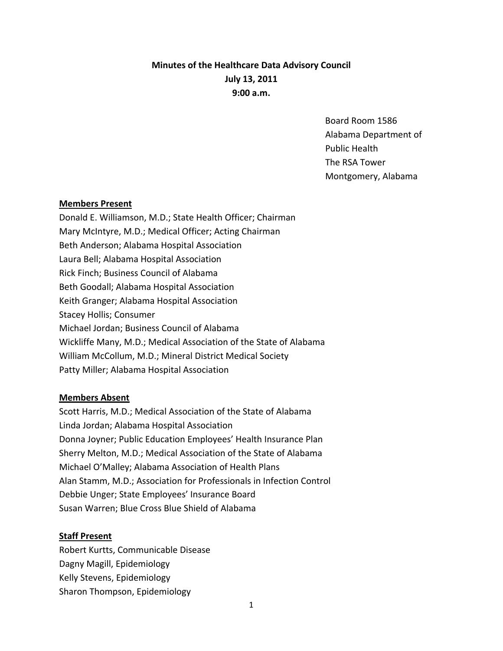# **Minutes of the Healthcare Data Advisory Council July 13, 2011 9:00 a.m.**

Board Room 1586 Alabama Department of Public Health The RSA Tower Montgomery, Alabama

## **Members Present**

Donald E. Williamson, M.D.; State Health Officer; Chairman Mary McIntyre, M.D.; Medical Officer; Acting Chairman Beth Anderson; Alabama Hospital Association Laura Bell; Alabama Hospital Association Rick Finch; Business Council of Alabama Beth Goodall; Alabama Hospital Association Keith Granger; Alabama Hospital Association Stacey Hollis; Consumer Michael Jordan; Business Council of Alabama Wickliffe Many, M.D.; Medical Association of the State of Alabama William McCollum, M.D.; Mineral District Medical Society Patty Miller; Alabama Hospital Association

# **Members Absent**

Scott Harris, M.D.; Medical Association of the State of Alabama Linda Jordan; Alabama Hospital Association Donna Joyner; Public Education Employees' Health Insurance Plan Sherry Melton, M.D.; Medical Association of the State of Alabama Michael O'Malley; Alabama Association of Health Plans Alan Stamm, M.D.; Association for Professionals in Infection Control Debbie Unger; State Employees' Insurance Board Susan Warren; Blue Cross Blue Shield of Alabama

### **Staff Present**

Robert Kurtts, Communicable Disease Dagny Magill, Epidemiology Kelly Stevens, Epidemiology Sharon Thompson, Epidemiology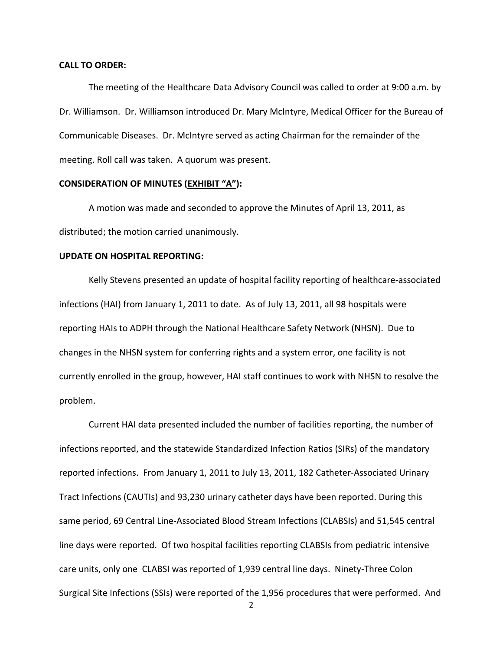#### **CALL TO ORDER:**

The meeting of the Healthcare Data Advisory Council was called to order at 9:00 a.m. by Dr. Williamson. Dr. Williamson introduced Dr. Mary McIntyre, Medical Officer for the Bureau of Communicable Diseases. Dr. McIntyre served as acting Chairman for the remainder of the meeting. Roll call was taken. A quorum was present.

#### **CONSIDERATION OF MINUTES (EXHIBIT "A"):**

A motion was made and seconded to approve the Minutes of April 13, 2011, as distributed; the motion carried unanimously.

#### **UPDATE ON HOSPITAL REPORTING:**

Kelly Stevens presented an update of hospital facility reporting of healthcare‐associated infections (HAI) from January 1, 2011 to date. As of July 13, 2011, all 98 hospitals were reporting HAIs to ADPH through the National Healthcare Safety Network (NHSN). Due to changes in the NHSN system for conferring rights and a system error, one facility is not currently enrolled in the group, however, HAI staff continues to work with NHSN to resolve the problem.

Current HAI data presented included the number of facilities reporting, the number of infections reported, and the statewide Standardized Infection Ratios (SIRs) of the mandatory reported infections. From January 1, 2011 to July 13, 2011, 182 Catheter‐Associated Urinary Tract Infections (CAUTIs) and 93,230 urinary catheter days have been reported. During this same period, 69 Central Line‐Associated Blood Stream Infections (CLABSIs) and 51,545 central line days were reported. Of two hospital facilities reporting CLABSIs from pediatric intensive care units, only one CLABSI was reported of 1,939 central line days. Ninety‐Three Colon Surgical Site Infections (SSIs) were reported of the 1,956 procedures that were performed. And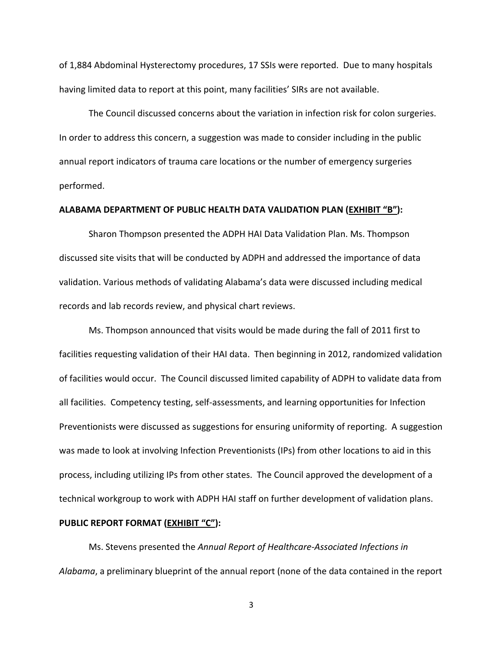of 1,884 Abdominal Hysterectomy procedures, 17 SSIs were reported. Due to many hospitals having limited data to report at this point, many facilities' SIRs are not available.

The Council discussed concerns about the variation in infection risk for colon surgeries. In order to address this concern, a suggestion was made to consider including in the public annual report indicators of trauma care locations or the number of emergency surgeries performed.

# **ALABAMA DEPARTMENT OF PUBLIC HEALTH DATA VALIDATION PLAN (EXHIBIT "B"):**

Sharon Thompson presented the ADPH HAI Data Validation Plan. Ms. Thompson discussed site visits that will be conducted by ADPH and addressed the importance of data validation. Various methods of validating Alabama's data were discussed including medical records and lab records review, and physical chart reviews.

Ms. Thompson announced that visits would be made during the fall of 2011 first to facilities requesting validation of their HAI data. Then beginning in 2012, randomized validation of facilities would occur. The Council discussed limited capability of ADPH to validate data from all facilities. Competency testing, self‐assessments, and learning opportunities for Infection Preventionists were discussed as suggestions for ensuring uniformity of reporting. A suggestion was made to look at involving Infection Preventionists (IPs) from other locations to aid in this process, including utilizing IPs from other states. The Council approved the development of a technical workgroup to work with ADPH HAI staff on further development of validation plans.

#### **PUBLIC REPORT FORMAT (EXHIBIT "C"):**

Ms. Stevens presented the *Annual Report of Healthcare‐Associated Infections in Alabama*, a preliminary blueprint of the annual report (none of the data contained in the report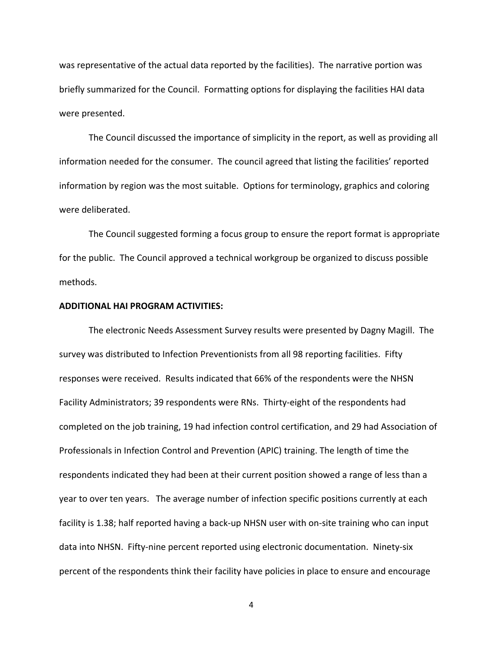was representative of the actual data reported by the facilities). The narrative portion was briefly summarized for the Council. Formatting options for displaying the facilities HAI data were presented.

The Council discussed the importance of simplicity in the report, as well as providing all information needed for the consumer. The council agreed that listing the facilities' reported information by region was the most suitable. Options for terminology, graphics and coloring were deliberated.

The Council suggested forming a focus group to ensure the report format is appropriate for the public. The Council approved a technical workgroup be organized to discuss possible methods.

#### **ADDITIONAL HAI PROGRAM ACTIVITIES:**

The electronic Needs Assessment Survey results were presented by Dagny Magill. The survey was distributed to Infection Preventionists from all 98 reporting facilities. Fifty responses were received. Results indicated that 66% of the respondents were the NHSN Facility Administrators; 39 respondents were RNs. Thirty-eight of the respondents had completed on the job training, 19 had infection control certification, and 29 had Association of Professionals in Infection Control and Prevention (APIC) training. The length of time the respondents indicated they had been at their current position showed a range of less than a year to over ten years. The average number of infection specific positions currently at each facility is 1.38; half reported having a back-up NHSN user with on-site training who can input data into NHSN. Fifty-nine percent reported using electronic documentation. Ninety-six percent of the respondents think their facility have policies in place to ensure and encourage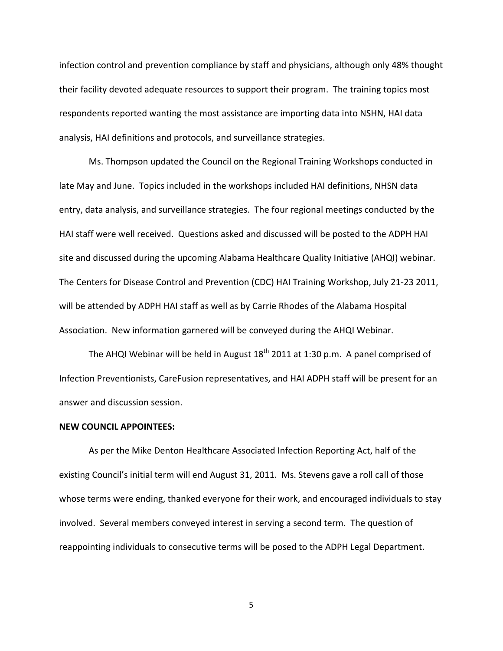infection control and prevention compliance by staff and physicians, although only 48% thought their facility devoted adequate resources to support their program. The training topics most respondents reported wanting the most assistance are importing data into NSHN, HAI data analysis, HAI definitions and protocols, and surveillance strategies.

Ms. Thompson updated the Council on the Regional Training Workshops conducted in late May and June. Topics included in the workshops included HAI definitions, NHSN data entry, data analysis, and surveillance strategies. The four regional meetings conducted by the HAI staff were well received. Questions asked and discussed will be posted to the ADPH HAI site and discussed during the upcoming Alabama Healthcare Quality Initiative (AHQI) webinar. The Centers for Disease Control and Prevention (CDC) HAI Training Workshop, July 21‐23 2011, will be attended by ADPH HAI staff as well as by Carrie Rhodes of the Alabama Hospital Association. New information garnered will be conveyed during the AHQI Webinar.

The AHQI Webinar will be held in August  $18<sup>th</sup>$  2011 at 1:30 p.m. A panel comprised of Infection Preventionists, CareFusion representatives, and HAI ADPH staff will be present for an answer and discussion session.

# **NEW COUNCIL APPOINTEES:**

As per the Mike Denton Healthcare Associated Infection Reporting Act, half of the existing Council's initial term will end August 31, 2011. Ms. Stevens gave a roll call of those whose terms were ending, thanked everyone for their work, and encouraged individuals to stay involved. Several members conveyed interest in serving a second term. The question of reappointing individuals to consecutive terms will be posed to the ADPH Legal Department.